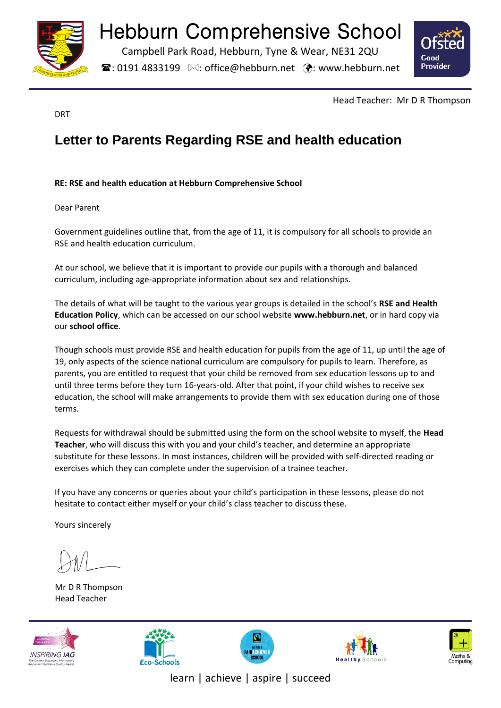

## Hebburn Comprehensive School

Campbell Park Road, Hebburn, Tyne & Wear, NE31 2QU

 $\mathbf{\widehat{a}}$ : 0191 4833199  $\boxtimes$ : office@hebburn.net  $\ddot{\mathbf{\cdot}}$ : www.hebburn.net



DRT

Head Teacher: Mr D R Thompson

## **Letter to Parents Regarding RSE and health education**

## **RE: RSE and health education at Hebburn Comprehensive School**

Dear Parent

Government guidelines outline that, from the age of 11, it is compulsory for all schools to provide an RSE and health education curriculum.

At our school, we believe that it is important to provide our pupils with a thorough and balanced curriculum, including age-appropriate information about sex and relationships.

The details of what will be taught to the various year groups is detailed in the school's **RSE and Health Education Policy**, which can be accessed on our school website **www.hebburn.net**, or in hard copy via our **school office**.

Though schools must provide RSE and health education for pupils from the age of 11, up until the age of 19, only aspects of the science national curriculum are compulsory for pupils to learn. Therefore, as parents, you are entitled to request that your child be removed from sex education lessons up to and until three terms before they turn 16-years-old. After that point, if your child wishes to receive sex education, the school will make arrangements to provide them with sex education during one of those terms.

Requests for withdrawal should be submitted using the form on the school website to myself, the **Head Teacher**, who will discuss this with you and your child's teacher, and determine an appropriate substitute for these lessons. In most instances, children will be provided with self-directed reading or exercises which they can complete under the supervision of a trainee teacher.

If you have any concerns or queries about your child's participation in these lessons, please do not hesitate to contact either myself or your child's class teacher to discuss these.

Yours sincerely

Mr D R Thompson Head Teacher











learn | achieve | aspire | succeed